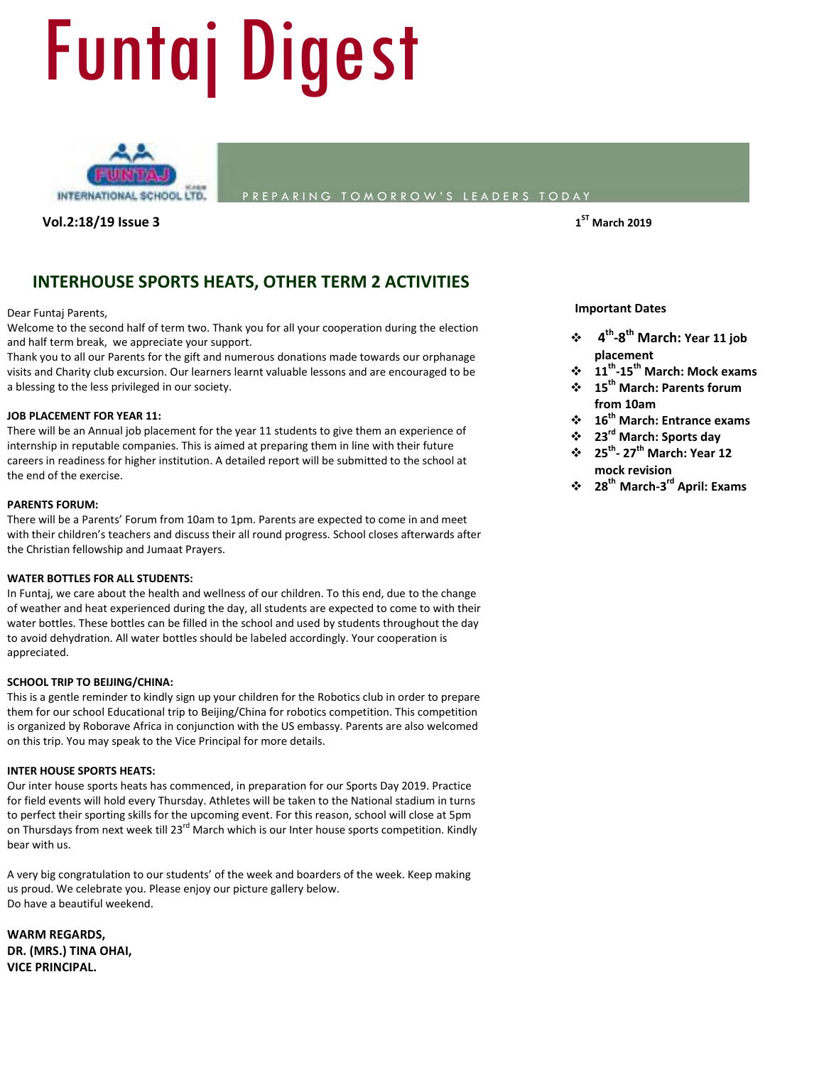# Funtaj Digest



PREPARING TOMORROW'S LEADERS TODAY

**Vol.2:18/19 Issue 3 1**<sup>ST</sup> March 2019

## **INTERHOUSE SPORTS HEATS, OTHER TERM 2 ACTIVITIES**

#### Dear Funtaj Parents,

Welcome to the second half of term two. Thank you for all your cooperation during the election and half term break, we appreciate your support.

Thank you to all our Parents for the gift and numerous donations made towards our orphanage visits and Charity club excursion. Our learners learnt valuable lessons and are encouraged to be a blessing to the less privileged in our society.

### **JOB PLACEMENT FOR YEAR 11:**

There will be an Annual job placement for the year 11 students to give them an experience of internship in reputable companies. This is aimed at preparing them in line with their future careers in readiness for higher institution. A detailed report will be submitted to the school at the end of the exercise.

#### **PARENTS FORUM:**

There will be a Parents' Forum from 10am to 1pm. Parents are expected to come in and meet with their children's teachers and discuss their all round progress. School closes afterwards after the Christian fellowship and Jumaat Prayers.

#### **WATER BOTTLES FOR ALL STUDENTS:**

In Funtaj, we care about the health and wellness of our children. To this end, due to the change of weather and heat experienced during the day, all students are expected to come to with their water bottles. These bottles can be filled in the school and used by students throughout the day to avoid dehydration. All water bottles should be labeled accordingly. Your cooperation is appreciated.

#### **SCHOOL TRIP TO BEIJING/CHINA:**

This is a gentle reminder to kindly sign up your children for the Robotics club in order to prepare them for our school Educational trip to Beijing/China for robotics competition. This competition is organized by Roborave Africa in conjunction with the US embassy. Parents are also welcomed on this trip. You may speak to the Vice Principal for more details.

#### **INTER HOUSE SPORTS HEATS:**

Our inter house sports heats has commenced, in preparation for our Sports Day 2019. Practice for field events will hold every Thursday. Athletes will be taken to the National stadium in turns to perfect their sporting skills for the upcoming event. For this reason, school will close at 5pm on Thursdays from next week till 23<sup>rd</sup> March which is our Inter house sports competition. Kindly bear with us.

A very big congratulation to our students' of the week and boarders of the week. Keep making us proud. We celebrate you. Please enjoy our picture gallery below. Do have a beautiful weekend.

**WARM REGARDS, DR. (MRS.) TINA OHAI, VICE PRINCIPAL.** 

 **Important Dates**

- **4th-8th March: Year 11 job placement**
- **11th -15th March: Mock exams**
- **15th March: Parents forum from 10am**
- **16th March: Entrance exams**
- **23rd March: Sports day**
- **25th 27th March: Year 12 mock revision**
- **28th March-3rd April: Exams**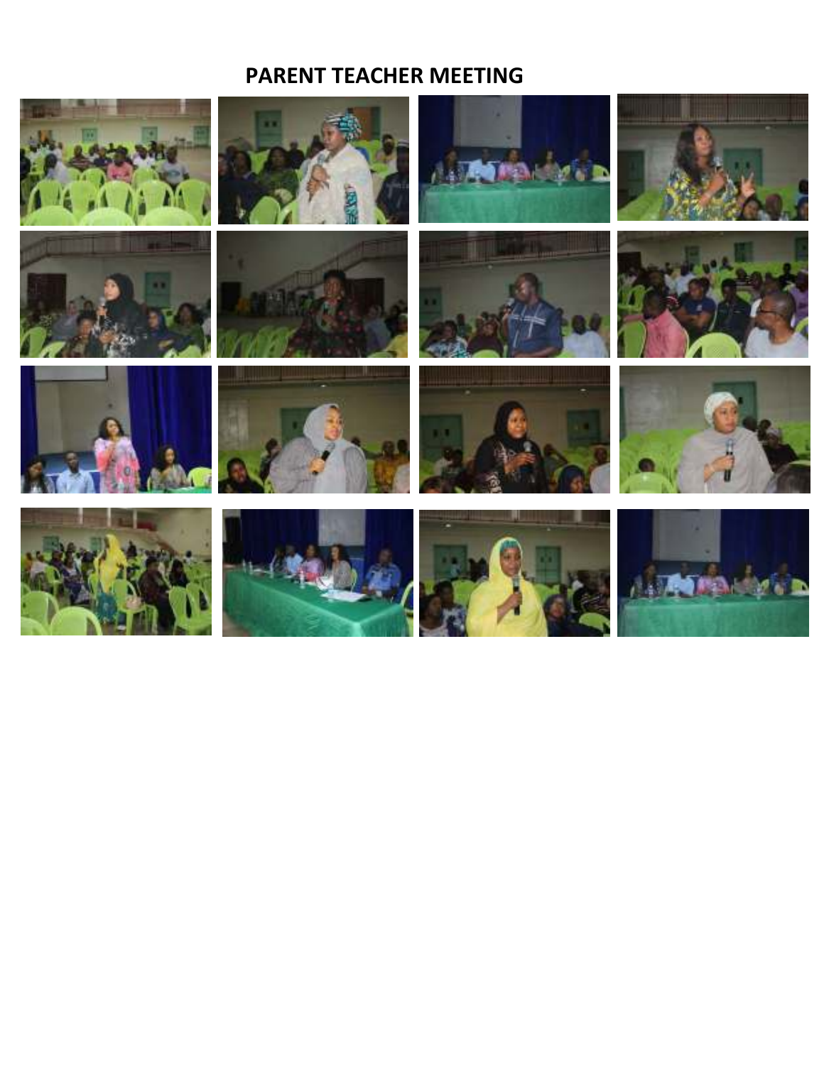## **PARENT TEACHER MEETING**



























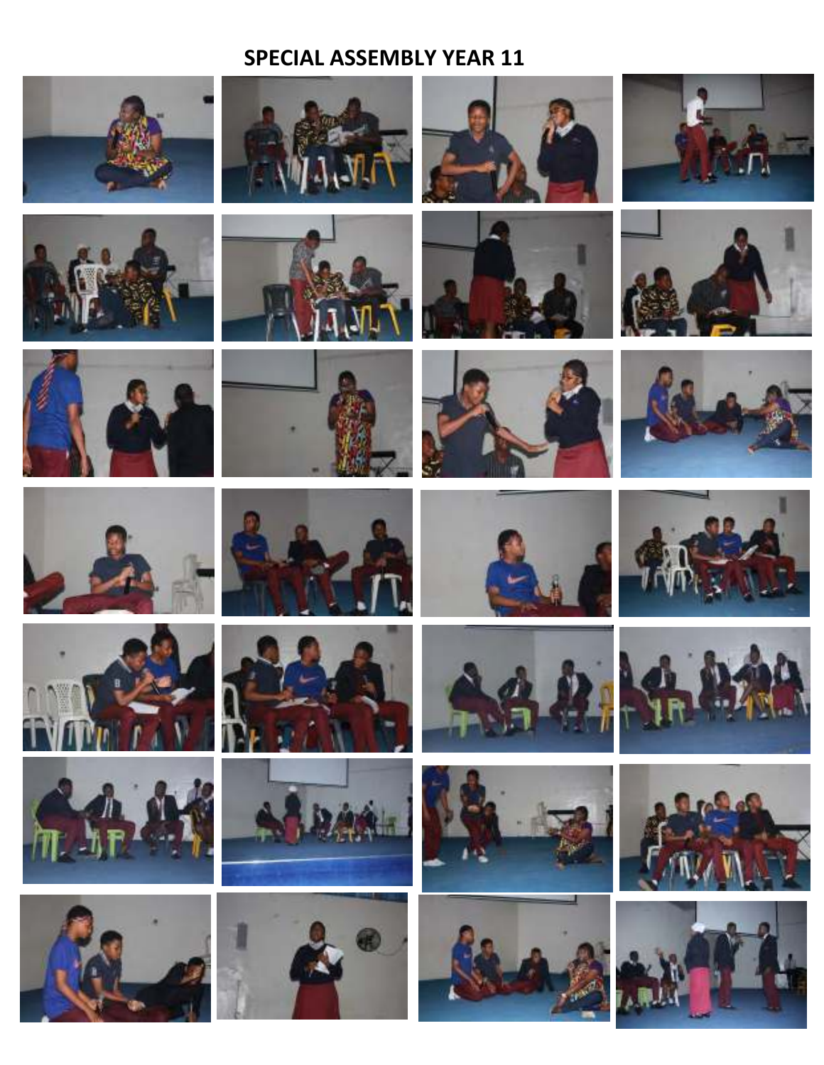## **SPECIAL ASSEMBLY YEAR 11**



















































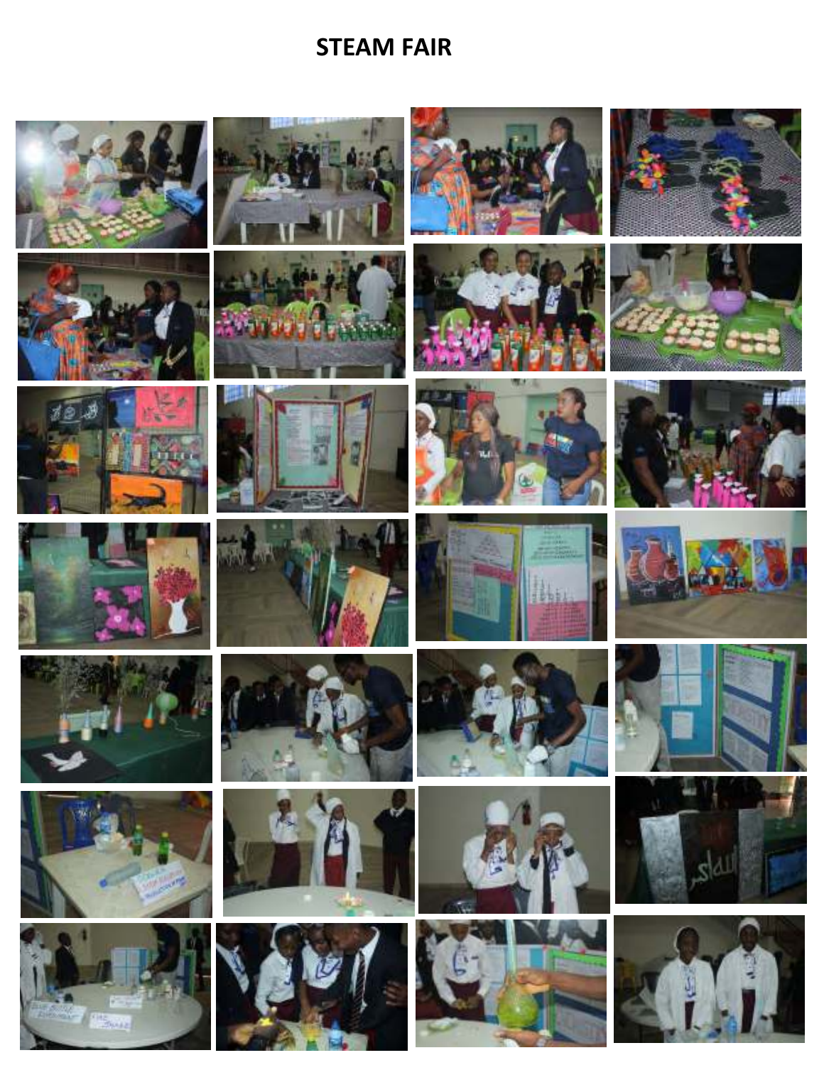## **STEAM FAIR**

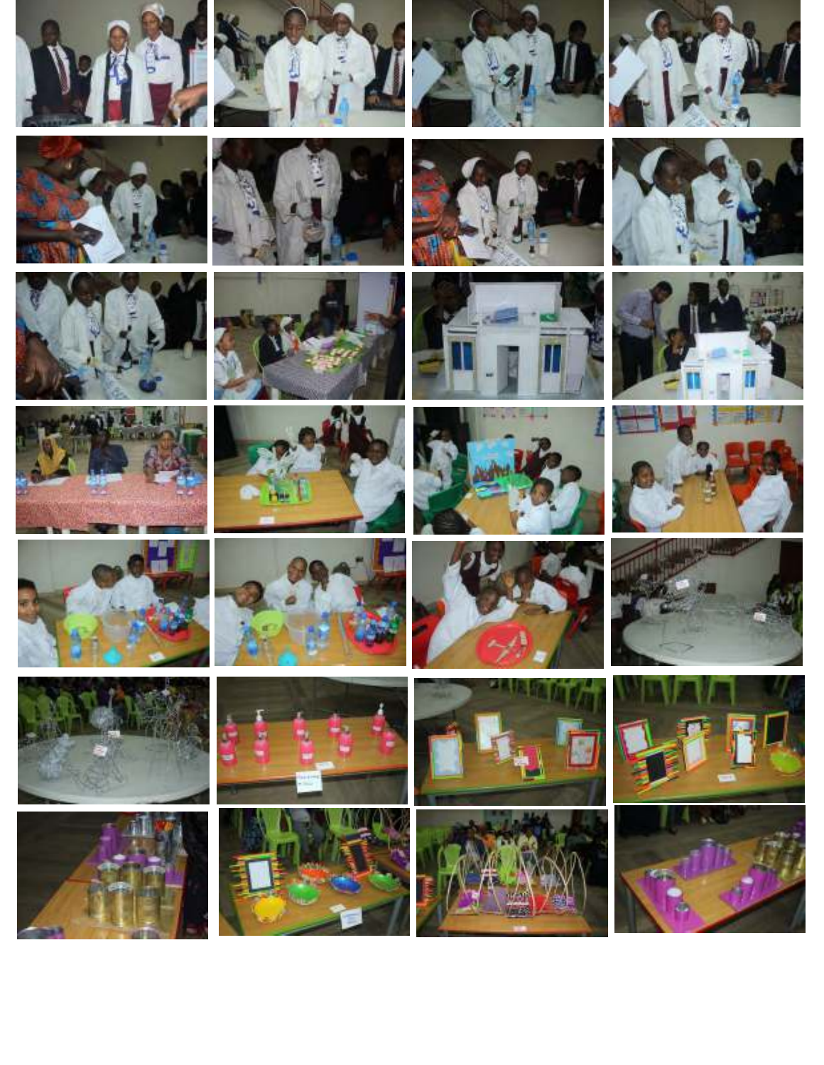















































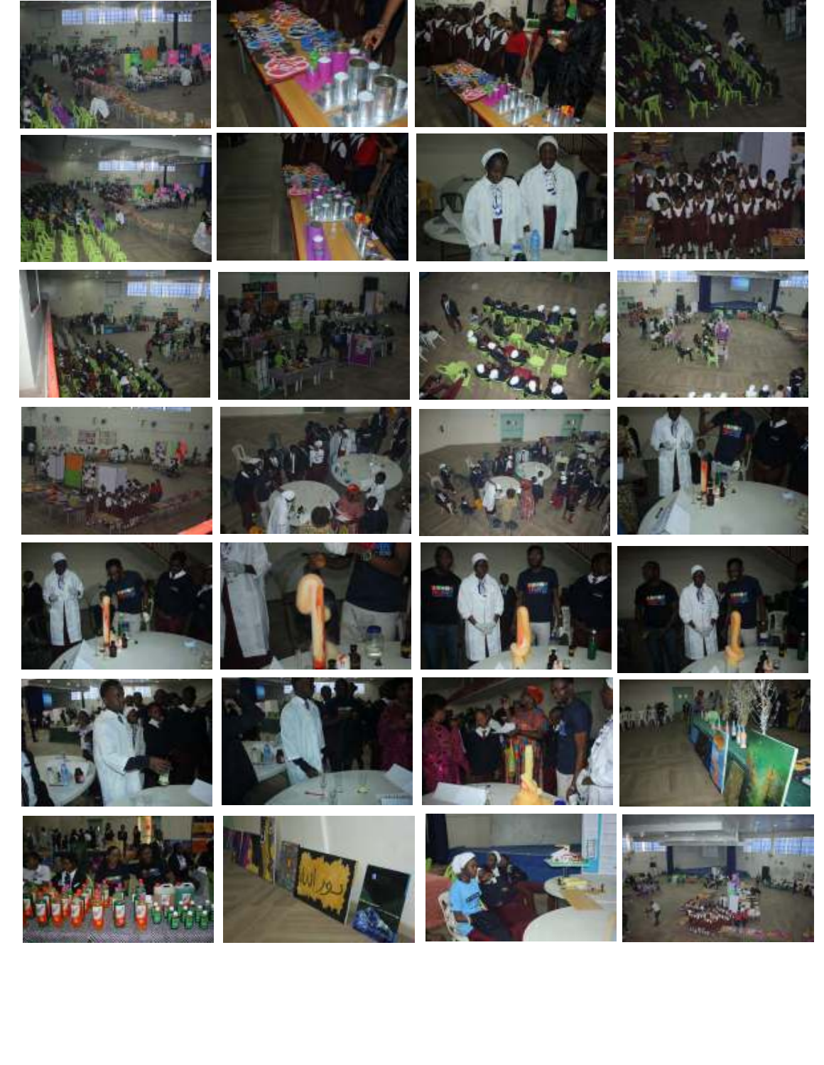



















































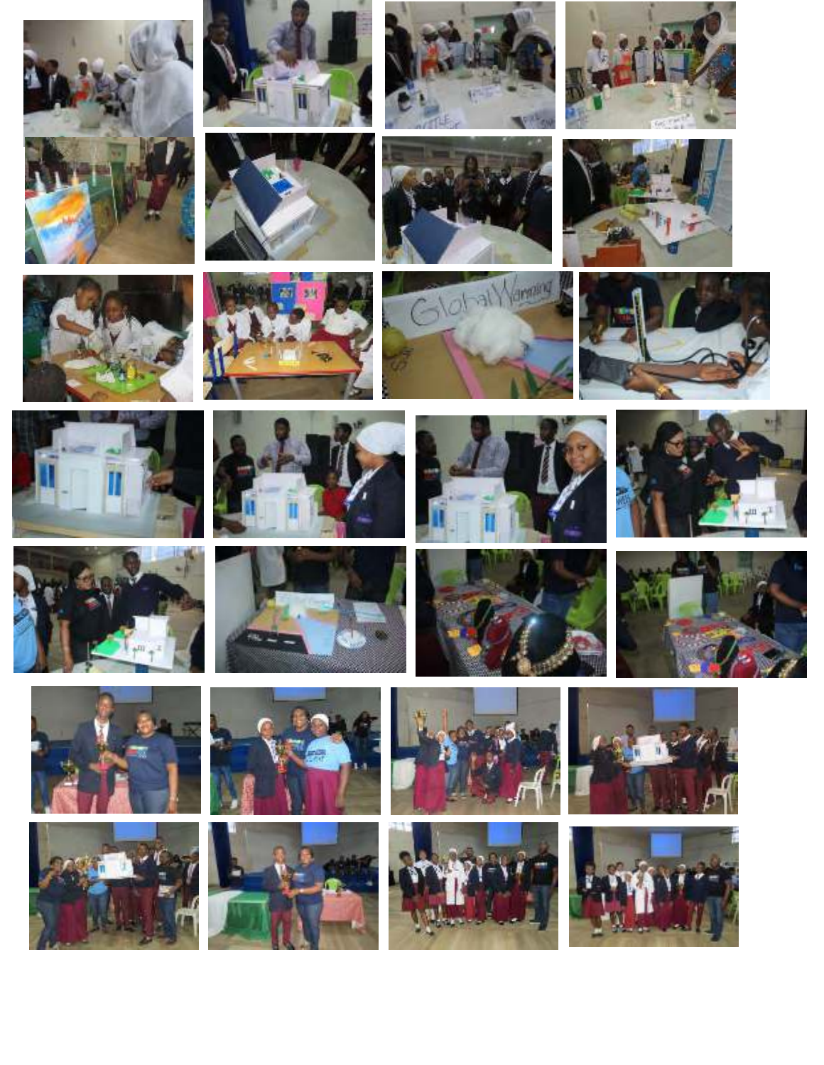













































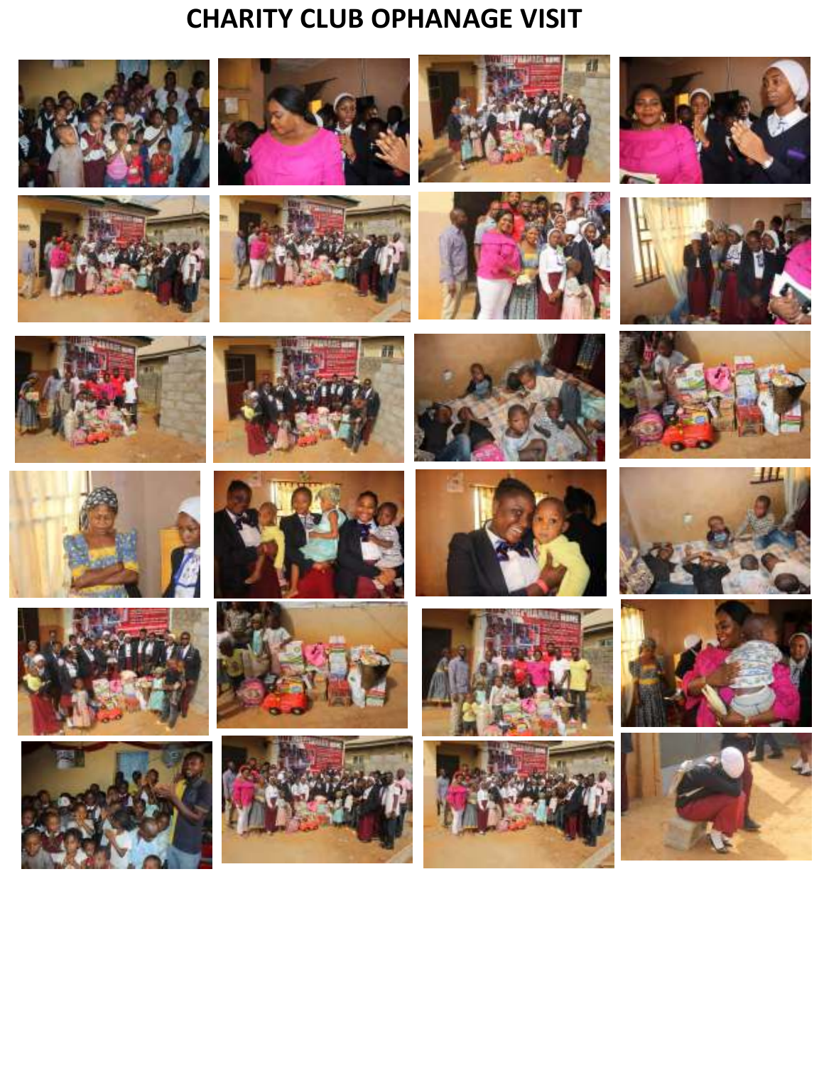# **CHARITY CLUB OPHANAGE VISIT**













































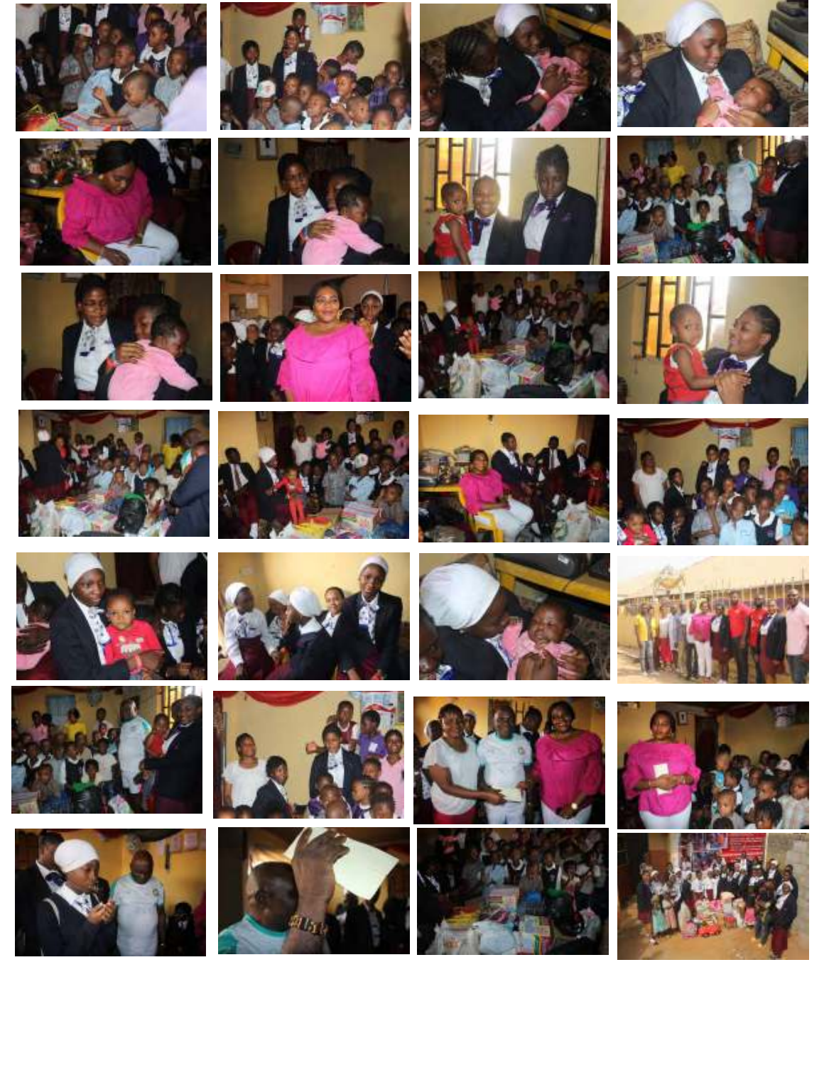















































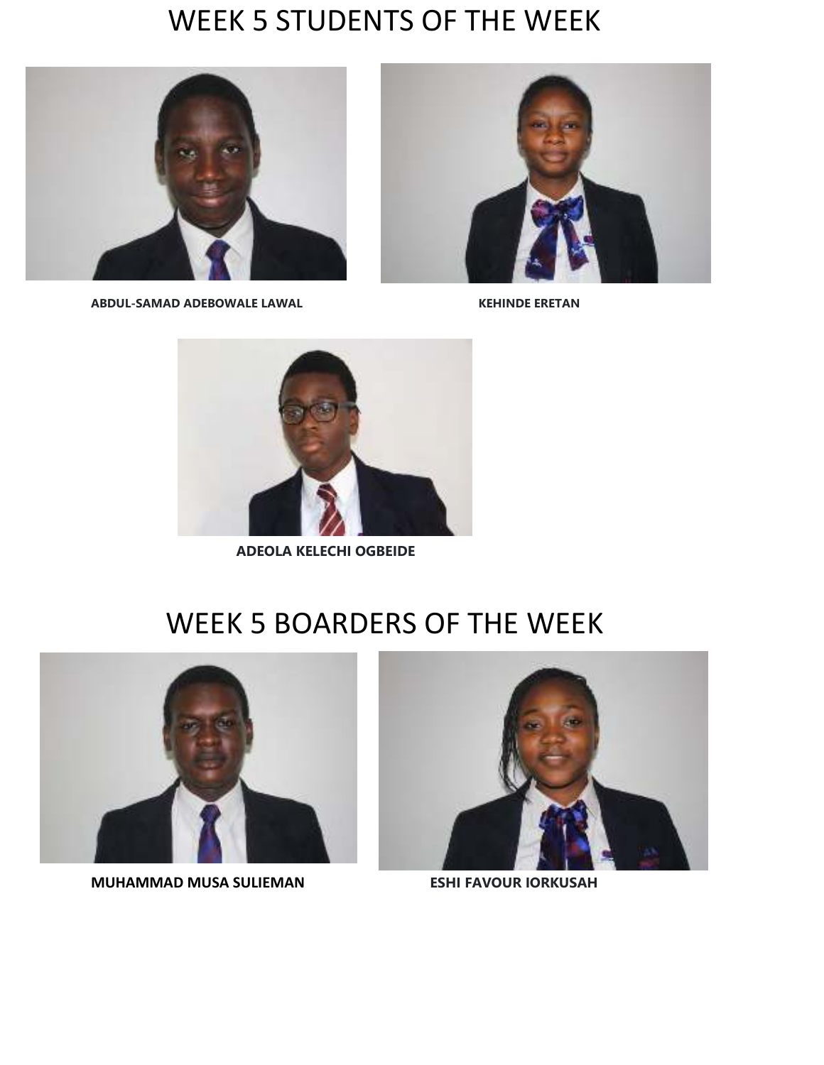# WEEK 5 STUDENTS OF THE WEEK



ABDUL-SAMAD ADEBOWALE LAWAL **KEHINDE ERETAN** 





**ADEOLA KELECHI OGBEIDE**

## WEEK 5 BOARDERS OF THE WEEK



**MUHAMMAD MUSA SULIEMAN ESHI FAVOUR IORKUSAH**